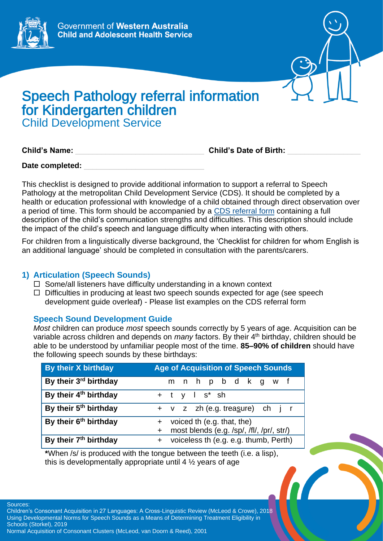



# Speech Pathology referral information for Kindergarten children Child Development Service

**Child's Name:** \_\_\_\_\_\_\_\_\_\_\_\_\_\_\_\_\_\_\_\_\_\_\_\_\_\_\_\_\_\_ **Child's Date of Birth:** \_\_\_\_\_\_\_\_\_\_\_\_\_\_\_\_\_

Date completed:

This checklist is designed to provide additional information to support a referral to Speech Pathology at the metropolitan Child Development Service (CDS). It should be completed by a health or education professional with knowledge of a child obtained through direct observation over a period of time. This form should be accompanied by a [CDS referral form](https://cahs.health.wa.gov.au/our-services/community-health/child-development-service/eligibility-and-referrals) containing a full description of the child's communication strengths and difficulties. This description should include the impact of the child's speech and language difficulty when interacting with others.

For children from a linguistically diverse background, the 'Checklist for children for whom English is an additional language' should be completed in consultation with the parents/carers.

## **1) Articulation (Speech Sounds)**

- $\Box$  Some/all listeners have difficulty understanding in a known context
- $\Box$  Difficulties in producing at least two speech sounds expected for age (see speech development guide overleaf) - Please list examples on the CDS referral form

## **Speech Sound Development Guide**

*Most* children can produce *most* speech sounds correctly by 5 years of age. Acquisition can be variable across children and depends on *many* factors. By their 4<sup>th</sup> birthday, children should be able to be understood by unfamiliar people most of the time. **85–90% of children** should have the following speech sounds by these birthdays:

| By their X birthday               | <b>Age of Acquisition of Speech Sounds</b>       |
|-----------------------------------|--------------------------------------------------|
| By their 3rd birthday             | m n h p b d k g w f                              |
| By their 4 <sup>th</sup> birthday | $+$ t y l s <sup>*</sup> sh                      |
| By their 5 <sup>th</sup> birthday | + v z zh (e.g. treasure) ch j r                  |
| By their 6 <sup>th</sup> birthday | + voiced th (e.g. that, the)                     |
|                                   | most blends (e.g. /sp/, /fl/, /pr/, str/)<br>$+$ |
| By their 7 <sup>th</sup> birthday | + voiceless th (e.g. e.g. thumb, Perth)          |

**\***When /s/ is produced with the tongue between the teeth (i.e. a lisp), this is developmentally appropriate until  $4\frac{1}{2}$  years of age

Sources:

Children's Consonant Acquisition in 27 Languages: A Cross-Linguistic Review (McLeod & Crowe), 2018 Using Developmental Norms for Speech Sounds as a Means of Determining Treatment Eligibility in Schools (Storkel), 2019

Normal Acquisition of Consonant Clusters (McLeod, van Doorn & Reed), 2001